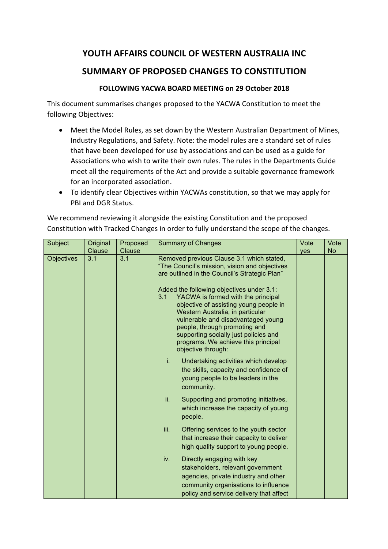## YOUTH AFFAIRS COUNCIL OF WESTERN AUSTRALIA INC

## **SUMMARY OF PROPOSED CHANGES TO CONSTITUTION**

## **FOLLOWING YACWA BOARD MEETING on 29 October 2018**

This document summarises changes proposed to the YACWA Constitution to meet the following Objectives:

- Meet the Model Rules, as set down by the Western Australian Department of Mines, Industry Regulations, and Safety. Note: the model rules are a standard set of rules that have been developed for use by associations and can be used as a guide for Associations who wish to write their own rules. The rules in the Departments Guide meet all the requirements of the Act and provide a suitable governance framework for an incorporated association.
- To identify clear Objectives within YACWAs constitution, so that we may apply for PBI and DGR Status.

| Subject           | Original | Proposed                                                                                                                                           | <b>Summary of Changes</b>                                                                                                                                                                                                                                                                                                                         | Vote | Vote      |
|-------------------|----------|----------------------------------------------------------------------------------------------------------------------------------------------------|---------------------------------------------------------------------------------------------------------------------------------------------------------------------------------------------------------------------------------------------------------------------------------------------------------------------------------------------------|------|-----------|
|                   | Clause   | Clause                                                                                                                                             |                                                                                                                                                                                                                                                                                                                                                   | yes  | <b>No</b> |
| <b>Objectives</b> | 3.1      | 3.1<br>Removed previous Clause 3.1 which stated,<br>"The Council's mission, vision and objectives<br>are outlined in the Council's Strategic Plan" |                                                                                                                                                                                                                                                                                                                                                   |      |           |
|                   |          |                                                                                                                                                    | Added the following objectives under 3.1:<br>YACWA is formed with the principal<br>3.1<br>objective of assisting young people in<br>Western Australia, in particular<br>vulnerable and disadvantaged young<br>people, through promoting and<br>supporting socially just policies and<br>programs. We achieve this principal<br>objective through: |      |           |
|                   |          |                                                                                                                                                    | i.<br>Undertaking activities which develop<br>the skills, capacity and confidence of<br>young people to be leaders in the<br>community.                                                                                                                                                                                                           |      |           |
|                   |          |                                                                                                                                                    | ii.<br>Supporting and promoting initiatives,<br>which increase the capacity of young<br>people.                                                                                                                                                                                                                                                   |      |           |
|                   |          |                                                                                                                                                    | iii.<br>Offering services to the youth sector<br>that increase their capacity to deliver<br>high quality support to young people.                                                                                                                                                                                                                 |      |           |
|                   |          |                                                                                                                                                    | Directly engaging with key<br>iv.<br>stakeholders, relevant government<br>agencies, private industry and other<br>community organisations to influence<br>policy and service delivery that affect                                                                                                                                                 |      |           |

We recommend reviewing it alongside the existing Constitution and the proposed Constitution with Tracked Changes in order to fully understand the scope of the changes.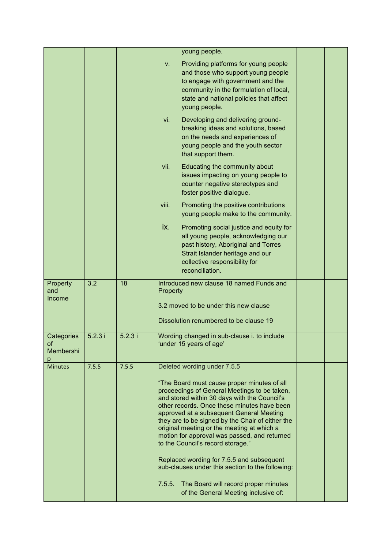|                                    |                  |        | young people.                                                                                                                                                                                                                                                                                                                  |
|------------------------------------|------------------|--------|--------------------------------------------------------------------------------------------------------------------------------------------------------------------------------------------------------------------------------------------------------------------------------------------------------------------------------|
|                                    |                  |        | Providing platforms for young people<br>V.<br>and those who support young people<br>to engage with government and the<br>community in the formulation of local,<br>state and national policies that affect<br>young people.                                                                                                    |
|                                    |                  |        | vi.<br>Developing and delivering ground-<br>breaking ideas and solutions, based<br>on the needs and experiences of<br>young people and the youth sector<br>that support them.                                                                                                                                                  |
|                                    |                  |        | Educating the community about<br>vii.<br>issues impacting on young people to<br>counter negative stereotypes and<br>foster positive dialogue.                                                                                                                                                                                  |
|                                    |                  |        | viii.<br>Promoting the positive contributions<br>young people make to the community.                                                                                                                                                                                                                                           |
|                                    |                  |        | ix.<br>Promoting social justice and equity for<br>all young people, acknowledging our<br>past history, Aboriginal and Torres<br>Strait Islander heritage and our<br>collective responsibility for<br>reconciliation.                                                                                                           |
| Property<br>and<br>Income          | $\overline{3.2}$ | 18     | Introduced new clause 18 named Funds and<br>Property<br>3.2 moved to be under this new clause<br>Dissolution renumbered to be clause 19                                                                                                                                                                                        |
| Categories<br>of<br>Membershi<br>р | 5.2.3i           | 5.2.3i | Wording changed in sub-clause i. to include<br>'under 15 years of age'                                                                                                                                                                                                                                                         |
| <b>Minutes</b>                     | 7.5.5            | 7.5.5  | Deleted wording under 7.5.5                                                                                                                                                                                                                                                                                                    |
|                                    |                  |        | "The Board must cause proper minutes of all<br>proceedings of General Meetings to be taken,                                                                                                                                                                                                                                    |
|                                    |                  |        | and stored within 30 days with the Council's<br>other records. Once these minutes have been<br>approved at a subsequent General Meeting<br>they are to be signed by the Chair of either the<br>original meeting or the meeting at which a<br>motion for approval was passed, and returned<br>to the Council's record storage." |
|                                    |                  |        | Replaced wording for 7.5.5 and subsequent<br>sub-clauses under this section to the following:                                                                                                                                                                                                                                  |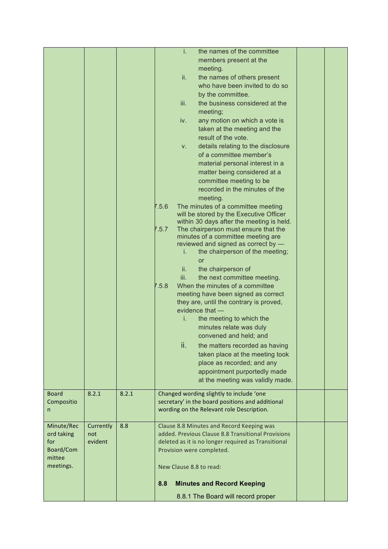|              |           |       | i.<br>the names of the committee                                              |  |
|--------------|-----------|-------|-------------------------------------------------------------------------------|--|
|              |           |       | members present at the                                                        |  |
|              |           |       | meeting.                                                                      |  |
|              |           |       |                                                                               |  |
|              |           |       | ii.<br>the names of others present                                            |  |
|              |           |       | who have been invited to do so                                                |  |
|              |           |       | by the committee.                                                             |  |
|              |           |       | the business considered at the<br>iii.                                        |  |
|              |           |       | meeting;                                                                      |  |
|              |           |       | any motion on which a vote is<br>iv.                                          |  |
|              |           |       | taken at the meeting and the                                                  |  |
|              |           |       | result of the vote.                                                           |  |
|              |           |       | details relating to the disclosure<br>V.                                      |  |
|              |           |       | of a committee member's                                                       |  |
|              |           |       | material personal interest in a                                               |  |
|              |           |       | matter being considered at a                                                  |  |
|              |           |       | committee meeting to be                                                       |  |
|              |           |       | recorded in the minutes of the                                                |  |
|              |           |       |                                                                               |  |
|              |           |       | meeting.<br>7.5.6                                                             |  |
|              |           |       | The minutes of a committee meeting<br>will be stored by the Executive Officer |  |
|              |           |       | within 30 days after the meeting is held.                                     |  |
|              |           |       | 7.5.7<br>The chairperson must ensure that the                                 |  |
|              |           |       | minutes of a committee meeting are                                            |  |
|              |           |       | reviewed and signed as correct by -                                           |  |
|              |           |       | the chairperson of the meeting;<br>i.                                         |  |
|              |           |       | or                                                                            |  |
|              |           |       | ii.<br>the chairperson of                                                     |  |
|              |           |       | iii.<br>the next committee meeting.                                           |  |
|              |           |       | When the minutes of a committee<br>7.5.8                                      |  |
|              |           |       | meeting have been signed as correct                                           |  |
|              |           |       | they are, until the contrary is proved,                                       |  |
|              |           |       | evidence that -                                                               |  |
|              |           |       | i.<br>the meeting to which the                                                |  |
|              |           |       | minutes relate was duly                                                       |  |
|              |           |       | convened and held; and                                                        |  |
|              |           |       | ii.                                                                           |  |
|              |           |       | the matters recorded as having                                                |  |
|              |           |       | taken place at the meeting took                                               |  |
|              |           |       | place as recorded; and any                                                    |  |
|              |           |       | appointment purportedly made                                                  |  |
|              |           |       | at the meeting was validly made.                                              |  |
| <b>Board</b> | 8.2.1     | 8.2.1 | Changed wording slightly to include 'one                                      |  |
| Compositio   |           |       | secretary' in the board positions and additional                              |  |
| n            |           |       | wording on the Relevant role Description.                                     |  |
|              |           |       |                                                                               |  |
| Minute/Rec   | Currently | 8.8   | Clause 8.8 Minutes and Record Keeping was                                     |  |
| ord taking   | not       |       | added. Previous Clause 8.8 Transitional Provisions                            |  |
| for          | evident   |       | deleted as it is no longer required as Transitional                           |  |
| Board/Com    |           |       | Provision were completed.                                                     |  |
| mittee       |           |       |                                                                               |  |
| meetings.    |           |       | New Clause 8.8 to read:                                                       |  |
|              |           |       |                                                                               |  |
|              |           |       | 8.8<br><b>Minutes and Record Keeping</b>                                      |  |
|              |           |       | 8.8.1 The Board will record proper                                            |  |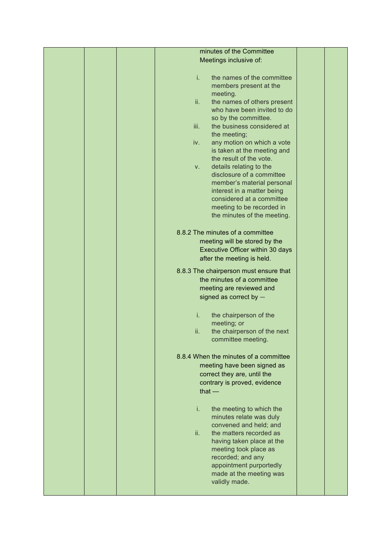|  | minutes of the Committee                          |  |
|--|---------------------------------------------------|--|
|  | Meetings inclusive of:                            |  |
|  |                                                   |  |
|  | i.<br>the names of the committee                  |  |
|  | members present at the                            |  |
|  | meeting.                                          |  |
|  | ii.<br>the names of others present                |  |
|  | who have been invited to do                       |  |
|  | so by the committee.                              |  |
|  | the business considered at<br>iii.                |  |
|  | the meeting;<br>any motion on which a vote<br>iv. |  |
|  | is taken at the meeting and                       |  |
|  | the result of the vote.                           |  |
|  | details relating to the<br>V.                     |  |
|  | disclosure of a committee                         |  |
|  | member's material personal                        |  |
|  | interest in a matter being                        |  |
|  | considered at a committee                         |  |
|  | meeting to be recorded in                         |  |
|  | the minutes of the meeting.                       |  |
|  |                                                   |  |
|  | 8.8.2 The minutes of a committee                  |  |
|  | meeting will be stored by the                     |  |
|  | Executive Officer within 30 days                  |  |
|  | after the meeting is held.                        |  |
|  | 8.8.3 The chairperson must ensure that            |  |
|  | the minutes of a committee                        |  |
|  | meeting are reviewed and                          |  |
|  | signed as correct by -                            |  |
|  |                                                   |  |
|  | i.<br>the chairperson of the                      |  |
|  | meeting; or<br>ii.<br>the chairperson of the next |  |
|  | committee meeting.                                |  |
|  |                                                   |  |
|  | 8.8.4 When the minutes of a committee             |  |
|  | meeting have been signed as                       |  |
|  | correct they are, until the                       |  |
|  | contrary is proved, evidence                      |  |
|  | that $-$                                          |  |
|  |                                                   |  |
|  | i.<br>the meeting to which the                    |  |
|  | minutes relate was duly                           |  |
|  | convened and held; and                            |  |
|  | ii.<br>the matters recorded as                    |  |
|  | having taken place at the                         |  |
|  | meeting took place as                             |  |
|  | recorded; and any<br>appointment purportedly      |  |
|  | made at the meeting was                           |  |
|  | validly made.                                     |  |
|  |                                                   |  |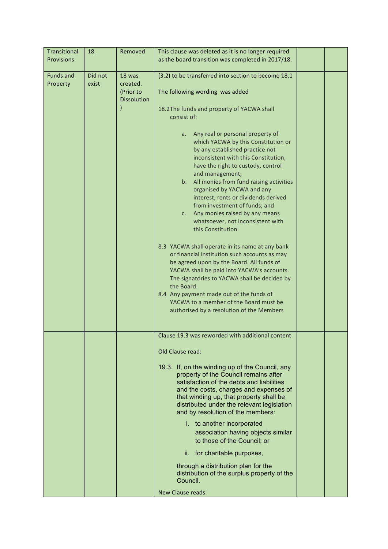| Transitional<br><b>Provisions</b> | 18               | Removed                                               | This clause was deleted as it is no longer required<br>as the board transition was completed in 2017/18.                                                                                                                                                                                                                                                                                                                                                                                                                                                                                                                                                                                                                                                                                                                                                                                                                                                                                                                        |
|-----------------------------------|------------------|-------------------------------------------------------|---------------------------------------------------------------------------------------------------------------------------------------------------------------------------------------------------------------------------------------------------------------------------------------------------------------------------------------------------------------------------------------------------------------------------------------------------------------------------------------------------------------------------------------------------------------------------------------------------------------------------------------------------------------------------------------------------------------------------------------------------------------------------------------------------------------------------------------------------------------------------------------------------------------------------------------------------------------------------------------------------------------------------------|
| <b>Funds and</b><br>Property      | Did not<br>exist | 18 was<br>created.<br>(Prior to<br><b>Dissolution</b> | (3.2) to be transferred into section to become 18.1<br>The following wording was added<br>18.2The funds and property of YACWA shall<br>consist of:<br>Any real or personal property of<br>a.<br>which YACWA by this Constitution or<br>by any established practice not<br>inconsistent with this Constitution,<br>have the right to custody, control<br>and management;<br>b. All monies from fund raising activities<br>organised by YACWA and any<br>interest, rents or dividends derived<br>from investment of funds; and<br>Any monies raised by any means<br>c.<br>whatsoever, not inconsistent with<br>this Constitution.<br>8.3 YACWA shall operate in its name at any bank<br>or financial institution such accounts as may<br>be agreed upon by the Board. All funds of<br>YACWA shall be paid into YACWA's accounts.<br>The signatories to YACWA shall be decided by<br>the Board.<br>8.4 Any payment made out of the funds of<br>YACWA to a member of the Board must be<br>authorised by a resolution of the Members |
|                                   |                  |                                                       | Clause 19.3 was reworded with additional content<br>Old Clause read:<br>19.3. If, on the winding up of the Council, any<br>property of the Council remains after<br>satisfaction of the debts and liabilities<br>and the costs, charges and expenses of<br>that winding up, that property shall be<br>distributed under the relevant legislation<br>and by resolution of the members:<br>i. to another incorporated<br>association having objects similar<br>to those of the Council; or<br>ii. for charitable purposes,<br>through a distribution plan for the<br>distribution of the surplus property of the<br>Council.<br><b>New Clause reads:</b>                                                                                                                                                                                                                                                                                                                                                                          |